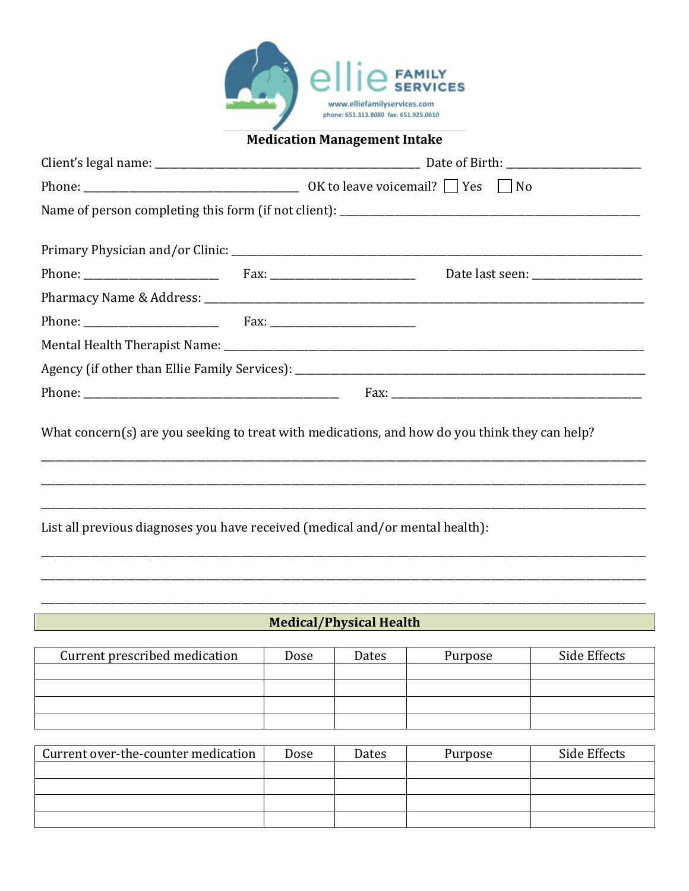

## **Medication Management Intake**

|                                                                               | What concern(s) are you seeking to treat with medications, and how do you think they can help? |  |  |  |  |
|-------------------------------------------------------------------------------|------------------------------------------------------------------------------------------------|--|--|--|--|
|                                                                               |                                                                                                |  |  |  |  |
| List all previous diagnoses you have received (medical and/or mental health): |                                                                                                |  |  |  |  |
|                                                                               |                                                                                                |  |  |  |  |
|                                                                               |                                                                                                |  |  |  |  |

## **Medical/Physical Health**

| Current prescribed medication | Dose | Dates | Purpose | Side Effects |
|-------------------------------|------|-------|---------|--------------|
|                               |      |       |         |              |
|                               |      |       |         |              |
|                               |      |       |         |              |
|                               |      |       |         |              |

| Current over-the-counter medication | Dose | Dates | Purpose | Side Effects |
|-------------------------------------|------|-------|---------|--------------|
|                                     |      |       |         |              |
|                                     |      |       |         |              |
|                                     |      |       |         |              |
|                                     |      |       |         |              |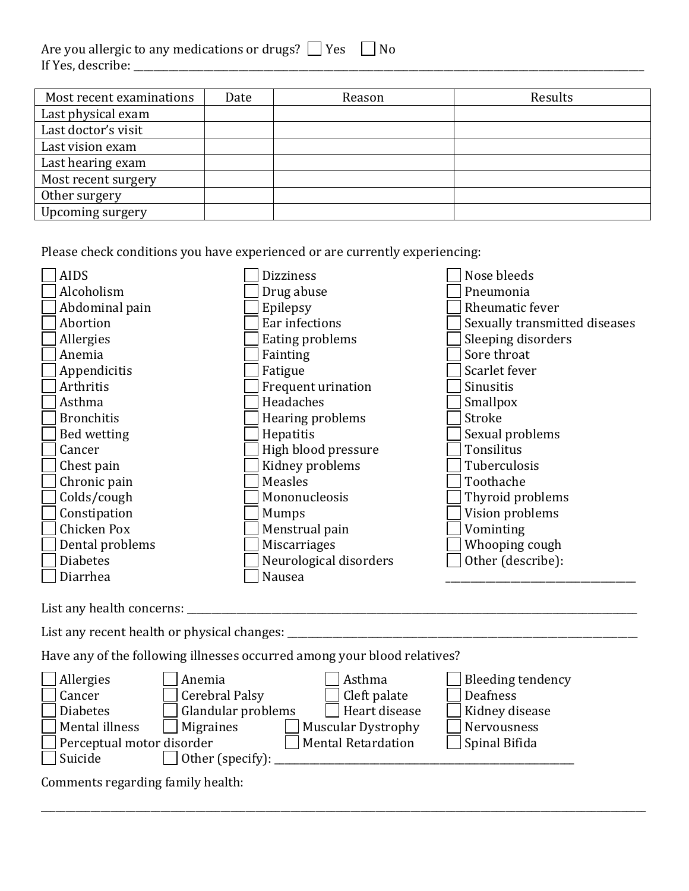| Are you allergic to any medications or drugs? $\Box$ Yes $\Box$ No |  |
|--------------------------------------------------------------------|--|
| If Yes, describe:                                                  |  |

| Most recent examinations | Date | Reason | Results |
|--------------------------|------|--------|---------|
| Last physical exam       |      |        |         |
| Last doctor's visit      |      |        |         |
| Last vision exam         |      |        |         |
| Last hearing exam        |      |        |         |
| Most recent surgery      |      |        |         |
| Other surgery            |      |        |         |
| Upcoming surgery         |      |        |         |

Please check conditions you have experienced or are currently experiencing:

| <b>AIDS</b>       | <b>Dizziness</b>       | Nose bleeds                   |
|-------------------|------------------------|-------------------------------|
| Alcoholism        | Drug abuse             | Pneumonia                     |
| Abdominal pain    | Epilepsy               | Rheumatic fever               |
| Abortion          | Ear infections         | Sexually transmitted diseases |
| Allergies         | Eating problems        | Sleeping disorders            |
| Anemia            | Fainting               | Sore throat                   |
| Appendicitis      | Fatigue                | Scarlet fever                 |
| Arthritis         | Frequent urination     | Sinusitis                     |
| Asthma            | Headaches              | Smallpox                      |
| <b>Bronchitis</b> | Hearing problems       | Stroke                        |
| Bed wetting       | Hepatitis              | Sexual problems               |
| Cancer            | High blood pressure    | Tonsilitus                    |
| Chest pain        | Kidney problems        | Tuberculosis                  |
| Chronic pain      | Measles                | Toothache                     |
| Colds/cough       | Mononucleosis          | Thyroid problems              |
| Constipation      | Mumps                  | Vision problems               |
| Chicken Pox       | Menstrual pain         | Vominting                     |
| Dental problems   | Miscarriages           | Whooping cough                |
| <b>Diabetes</b>   | Neurological disorders | Other (describe):             |
| Diarrhea          | Nausea                 |                               |

List any health concerns: \_\_\_\_\_\_\_\_\_\_\_\_\_\_\_\_\_\_\_\_\_\_\_\_\_\_\_\_\_\_\_\_\_\_\_\_\_\_\_\_\_\_\_\_\_\_\_\_\_\_\_\_\_\_\_\_\_\_\_\_\_\_\_\_\_\_\_\_\_\_\_\_\_\_\_\_\_\_\_\_\_\_\_\_\_\_\_\_\_\_

List any recent health or physical changes: \_\_\_\_\_\_\_\_\_\_\_\_\_\_\_\_\_\_\_\_\_\_\_\_\_\_\_\_\_\_\_\_\_\_\_\_\_\_\_\_\_\_\_\_\_\_\_\_\_\_\_\_\_\_\_\_\_\_\_\_\_\_\_\_\_\_\_\_\_\_

Have any of the following illnesses occurred among your blood relatives?

| Allergies                         | Anemia                         | Asthma             | Bleeding tendency |
|-----------------------------------|--------------------------------|--------------------|-------------------|
| Cancer                            | Cerebral Palsy                 | Cleft palate       | Deafness          |
| <b>Diabetes</b>                   | Glandular problems             | Heart disease      | Kidney disease    |
| Mental illness                    | Migraines                      | Muscular Dystrophy | Nervousness       |
| $\Box$ Perceptual motor disorder  |                                | Mental Retardation | Spinal Bifida     |
| Suicide                           | $\Box$ Other (specify): $\Box$ |                    |                   |
| Comments regarding family health: |                                |                    |                   |

\_\_\_\_\_\_\_\_\_\_\_\_\_\_\_\_\_\_\_\_\_\_\_\_\_\_\_\_\_\_\_\_\_\_\_\_\_\_\_\_\_\_\_\_\_\_\_\_\_\_\_\_\_\_\_\_\_\_\_\_\_\_\_\_\_\_\_\_\_\_\_\_\_\_\_\_\_\_\_\_\_\_\_\_\_\_\_\_\_\_\_\_\_\_\_\_\_\_\_\_\_\_\_\_\_\_\_\_\_\_\_\_\_\_\_\_\_\_\_\_\_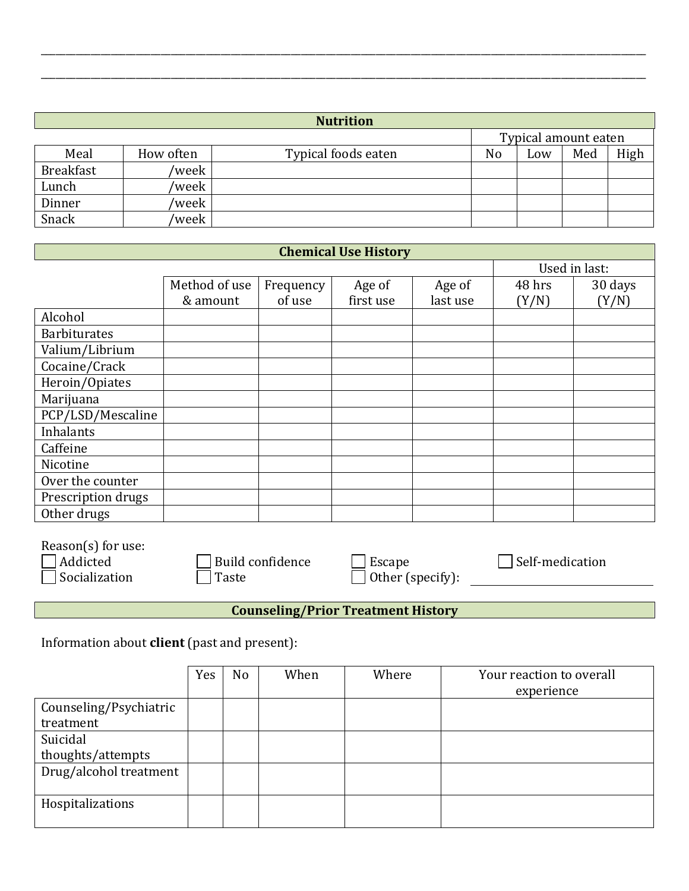|                  |           | <b>Nutrition</b>    |    |                      |     |      |
|------------------|-----------|---------------------|----|----------------------|-----|------|
|                  |           |                     |    | Typical amount eaten |     |      |
| Meal             | How often | Typical foods eaten | No | Low                  | Med | High |
| <b>Breakfast</b> | /week     |                     |    |                      |     |      |
| Lunch            | 'week     |                     |    |                      |     |      |
| Dinner           | 'week     |                     |    |                      |     |      |
| Snack            | 'week     |                     |    |                      |     |      |

\_\_\_\_\_\_\_\_\_\_\_\_\_\_\_\_\_\_\_\_\_\_\_\_\_\_\_\_\_\_\_\_\_\_\_\_\_\_\_\_\_\_\_\_\_\_\_\_\_\_\_\_\_\_\_\_\_\_\_\_\_\_\_\_\_\_\_\_\_\_\_\_\_\_\_\_\_\_\_\_\_\_\_\_\_\_\_\_\_\_\_\_\_\_\_\_\_\_\_\_\_\_\_\_\_\_\_\_\_\_\_\_\_\_\_\_\_\_\_\_\_

\_\_\_\_\_\_\_\_\_\_\_\_\_\_\_\_\_\_\_\_\_\_\_\_\_\_\_\_\_\_\_\_\_\_\_\_\_\_\_\_\_\_\_\_\_\_\_\_\_\_\_\_\_\_\_\_\_\_\_\_\_\_\_\_\_\_\_\_\_\_\_\_\_\_\_\_\_\_\_\_\_\_\_\_\_\_\_\_\_\_\_\_\_\_\_\_\_\_\_\_\_\_\_\_\_\_\_\_\_\_\_\_\_\_\_\_\_\_\_\_\_

| <b>Chemical Use History</b> |               |               |           |          |        |         |  |  |
|-----------------------------|---------------|---------------|-----------|----------|--------|---------|--|--|
|                             |               | Used in last: |           |          |        |         |  |  |
|                             | Method of use | Frequency     | Age of    | Age of   | 48 hrs | 30 days |  |  |
|                             | & amount      | of use        | first use | last use | (Y/N)  | (Y/N)   |  |  |
| Alcohol                     |               |               |           |          |        |         |  |  |
| <b>Barbiturates</b>         |               |               |           |          |        |         |  |  |
| Valium/Librium              |               |               |           |          |        |         |  |  |
| Cocaine/Crack               |               |               |           |          |        |         |  |  |
| Heroin/Opiates              |               |               |           |          |        |         |  |  |
| Marijuana                   |               |               |           |          |        |         |  |  |
| PCP/LSD/Mescaline           |               |               |           |          |        |         |  |  |
| Inhalants                   |               |               |           |          |        |         |  |  |
| Caffeine                    |               |               |           |          |        |         |  |  |
| Nicotine                    |               |               |           |          |        |         |  |  |
| Over the counter            |               |               |           |          |        |         |  |  |
| Prescription drugs          |               |               |           |          |        |         |  |  |
| Other drugs                 |               |               |           |          |        |         |  |  |

| Reason(s) for use: |                         |                         |                 |
|--------------------|-------------------------|-------------------------|-----------------|
| Addicted           | $\Box$ Build confidence | Escape                  | Self-medication |
| Socialization      | Taste                   | $\Box$ Other (specify): |                 |
|                    |                         |                         |                 |

**Counseling/Prior Treatment History** 

Information about **client** (past and present):

|                        | Yes | N <sub>o</sub> | When | Where | Your reaction to overall |
|------------------------|-----|----------------|------|-------|--------------------------|
|                        |     |                |      |       | experience               |
| Counseling/Psychiatric |     |                |      |       |                          |
| treatment              |     |                |      |       |                          |
| Suicidal               |     |                |      |       |                          |
| thoughts/attempts      |     |                |      |       |                          |
| Drug/alcohol treatment |     |                |      |       |                          |
|                        |     |                |      |       |                          |
| Hospitalizations       |     |                |      |       |                          |
|                        |     |                |      |       |                          |